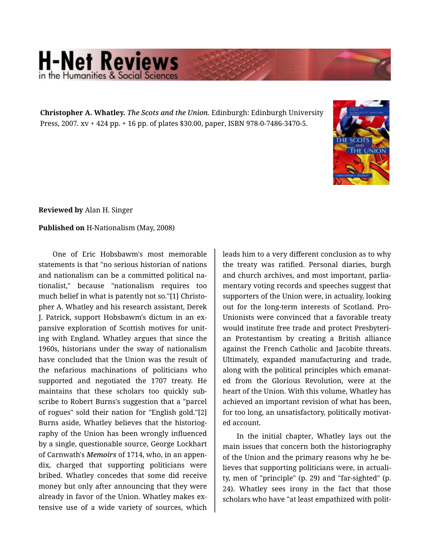## **H-Net Reviews** in the Humanities & Social Scie

**Christopher A. Whatley.** *The Scots and the Union.* Edinburgh: Edinburgh University Press, 2007. xv + 424 pp. + 16 pp. of plates \$30.00, paper, ISBN 978-0-7486-3470-5.



**Reviewed by** Alan H. Singer

## **Published on** H-Nationalism (May, 2008)

One of Eric Hobsbawm's most memorable statements is that "no serious historian of nations and nationalism can be a committed political na‐ tionalist," because "nationalism requires too much belief in what is patently not so."[1] Christo‐ pher A. Whatley and his research assistant, Derek J. Patrick, support Hobsbawm's dictum in an ex‐ pansive exploration of Scottish motives for unit‐ ing with England. Whatley argues that since the 1960s, historians under the sway of nationalism have concluded that the Union was the result of the nefarious machinations of politicians who supported and negotiated the 1707 treaty. He maintains that these scholars too quickly sub‐ scribe to Robert Burns's suggestion that a "parcel of rogues" sold their nation for "English gold."[2] Burns aside, Whatley believes that the historiog‐ raphy of the Union has been wrongly influenced by a single, questionable source, George Lockhart of Carnwath's *Memoirs* of 1714, who, in an appen‐ dix, charged that supporting politicians were bribed. Whatley concedes that some did receive money but only after announcing that they were already in favor of the Union. Whatley makes ex‐ tensive use of a wide variety of sources, which leads him to a very different conclusion as to why the treaty was ratified. Personal diaries, burgh and church archives, and most important, parlia‐ mentary voting records and speeches suggest that supporters of the Union were, in actuality, looking out for the long-term interests of Scotland. Pro-Unionists were convinced that a favorable treaty would institute free trade and protect Presbyteri‐ an Protestantism by creating a British alliance against the French Catholic and Jacobite threats. Ultimately, expanded manufacturing and trade, along with the political principles which emanat‐ ed from the Glorious Revolution, were at the heart of the Union. With this volume, Whatley has achieved an important revision of what has been, for too long, an unsatisfactory, politically motivat‐ ed account.

In the initial chapter, Whatley lays out the main issues that concern both the historiography of the Union and the primary reasons why he be‐ lieves that supporting politicians were, in actuali‐ ty, men of "principle" (p. 29) and "far-sighted" (p. 24). Whatley sees irony in the fact that those scholars who have "at least empathized with polit‐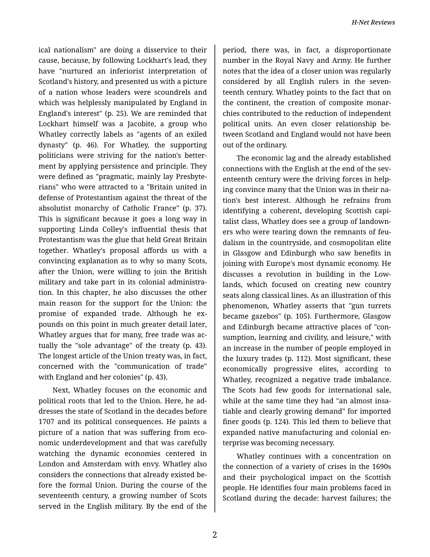ical nationalism" are doing a disservice to their cause, because, by following Lockhart's lead, they have "nurtured an inferiorist interpretation of Scotland's history, and presented us with a picture of a nation whose leaders were scoundrels and which was helplessly manipulated by England in England's interest" (p. 25). We are reminded that Lockhart himself was a Jacobite, a group who Whatley correctly labels as "agents of an exiled dynasty" (p. 46). For Whatley, the supporting politicians were striving for the nation's better‐ ment by applying persistence and principle. They were defined as "pragmatic, mainly lay Presbyte‐ rians" who were attracted to a "Britain united in defense of Protestantism against the threat of the absolutist monarchy of Catholic France" (p. 37). This is significant because it goes a long way in supporting Linda Colley's influential thesis that Protestantism was the glue that held Great Britain together. Whatley's proposal affords us with a convincing explanation as to why so many Scots, after the Union, were willing to join the British military and take part in its colonial administra‐ tion. In this chapter, he also discusses the other main reason for the support for the Union: the promise of expanded trade. Although he expounds on this point in much greater detail later, Whatley argues that for many, free trade was ac‐ tually the "sole advantage" of the treaty (p. 43). The longest article of the Union treaty was, in fact, concerned with the "communication of trade" with England and her colonies" (p. 43).

Next, Whatley focuses on the economic and political roots that led to the Union. Here, he ad‐ dresses the state of Scotland in the decades before 1707 and its political consequences. He paints a picture of a nation that was suffering from eco‐ nomic underdevelopment and that was carefully watching the dynamic economies centered in London and Amsterdam with envy. Whatley also considers the connections that already existed be‐ fore the formal Union. During the course of the seventeenth century, a growing number of Scots served in the English military. By the end of the

period, there was, in fact, a disproportionate number in the Royal Navy and Army. He further notes that the idea of a closer union was regularly considered by all English rulers in the seven‐ teenth century. Whatley points to the fact that on the continent, the creation of composite monar‐ chies contributed to the reduction of independent political units. An even closer relationship be‐ tween Scotland and England would not have been out of the ordinary.

The economic lag and the already established connections with the English at the end of the sev‐ enteenth century were the driving forces in help‐ ing convince many that the Union was in their na‐ tion's best interest. Although he refrains from identifying a coherent, developing Scottish capi‐ talist class, Whatley does see a group of landown‐ ers who were tearing down the remnants of feu‐ dalism in the countryside, and cosmopolitan elite in Glasgow and Edinburgh who saw benefits in joining with Europe's most dynamic economy. He discusses a revolution in building in the Low‐ lands, which focused on creating new country seats along classical lines. As an illustration of this phenomenon, Whatley asserts that "gun turrets became gazebos" (p. 105). Furthermore, Glasgow and Edinburgh became attractive places of "con‐ sumption, learning and civility, and leisure," with an increase in the number of people employed in the luxury trades (p. 112). Most significant, these economically progressive elites, according to Whatley, recognized a negative trade imbalance. The Scots had few goods for international sale, while at the same time they had "an almost insatiable and clearly growing demand" for imported finer goods (p. 124). This led them to believe that expanded native manufacturing and colonial en‐ terprise was becoming necessary.

Whatley continues with a concentration on the connection of a variety of crises in the 1690s and their psychological impact on the Scottish people. He identifies four main problems faced in Scotland during the decade: harvest failures; the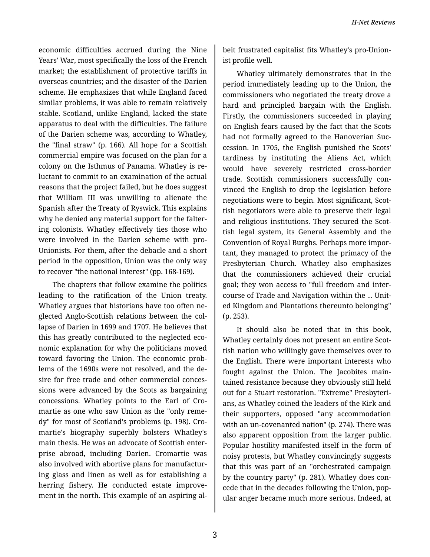economic difficulties accrued during the Nine Years' War, most specifically the loss of the French market; the establishment of protective tariffs in overseas countries; and the disaster of the Darien scheme. He emphasizes that while England faced similar problems, it was able to remain relatively stable. Scotland, unlike England, lacked the state apparatus to deal with the difficulties. The failure of the Darien scheme was, according to Whatley, the "final straw" (p. 166). All hope for a Scottish commercial empire was focused on the plan for a colony on the Isthmus of Panama. Whatley is re‐ luctant to commit to an examination of the actual reasons that the project failed, but he does suggest that William III was unwilling to alienate the Spanish after the Treaty of Ryswick. This explains why he denied any material support for the falter‐ ing colonists. Whatley effectively ties those who were involved in the Darien scheme with pro-Unionists. For them, after the debacle and a short period in the opposition, Union was the only way to recover "the national interest" (pp. 168-169).

The chapters that follow examine the politics leading to the ratification of the Union treaty. Whatley argues that historians have too often ne‐ glected Anglo-Scottish relations between the col‐ lapse of Darien in 1699 and 1707. He believes that this has greatly contributed to the neglected eco‐ nomic explanation for why the politicians moved toward favoring the Union. The economic prob‐ lems of the 1690s were not resolved, and the de‐ sire for free trade and other commercial conces‐ sions were advanced by the Scots as bargaining concessions. Whatley points to the Earl of Cro‐ martie as one who saw Union as the "only reme‐ dy" for most of Scotland's problems (p. 198). Cro‐ martie's biography superbly bolsters Whatley's main thesis. He was an advocate of Scottish enter‐ prise abroad, including Darien. Cromartie was also involved with abortive plans for manufactur‐ ing glass and linen as well as for establishing a herring fishery. He conducted estate improve‐ ment in the north. This example of an aspiring al‐

beit frustrated capitalist fits Whatley's pro-Union‐ ist profile well.

Whatley ultimately demonstrates that in the period immediately leading up to the Union, the commissioners who negotiated the treaty drove a hard and principled bargain with the English. Firstly, the commissioners succeeded in playing on English fears caused by the fact that the Scots had not formally agreed to the Hanoverian Suc‐ cession. In 1705, the English punished the Scots' tardiness by instituting the Aliens Act, which would have severely restricted cross-border trade. Scottish commissioners successfully con‐ vinced the English to drop the legislation before negotiations were to begin. Most significant, Scot‐ tish negotiators were able to preserve their legal and religious institutions. They secured the Scot‐ tish legal system, its General Assembly and the Convention of Royal Burghs. Perhaps more impor‐ tant, they managed to protect the primacy of the Presbyterian Church. Whatley also emphasizes that the commissioners achieved their crucial goal; they won access to "full freedom and inter‐ course of Trade and Navigation within the ... Unit‐ ed Kingdom and Plantations thereunto belonging" (p. 253).

It should also be noted that in this book, Whatley certainly does not present an entire Scot‐ tish nation who willingly gave themselves over to the English. There were important interests who fought against the Union. The Jacobites main‐ tained resistance because they obviously still held out for a Stuart restoration. "Extreme" Presbyteri‐ ans, as Whatley coined the leaders of the Kirk and their supporters, opposed "any accommodation with an un-covenanted nation" (p. 274). There was also apparent opposition from the larger public. Popular hostility manifested itself in the form of noisy protests, but Whatley convincingly suggests that this was part of an "orchestrated campaign by the country party" (p. 281). Whatley does con‐ cede that in the decades following the Union, pop‐ ular anger became much more serious. Indeed, at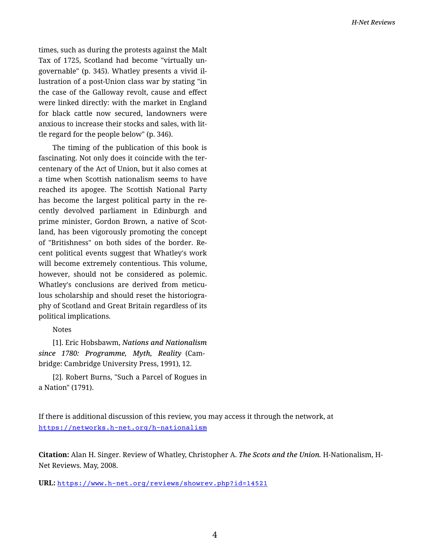times, such as during the protests against the Malt Tax of 1725, Scotland had become "virtually un‐ governable" (p. 345). Whatley presents a vivid il‐ lustration of a post-Union class war by stating "in the case of the Galloway revolt, cause and effect were linked directly: with the market in England for black cattle now secured, landowners were anxious to increase their stocks and sales, with lit‐ tle regard for the people below" (p. 346).

The timing of the publication of this book is fascinating. Not only does it coincide with the ter‐ centenary of the Act of Union, but it also comes at a time when Scottish nationalism seems to have reached its apogee. The Scottish National Party has become the largest political party in the re‐ cently devolved parliament in Edinburgh and prime minister, Gordon Brown, a native of Scot‐ land, has been vigorously promoting the concept of "Britishness" on both sides of the border. Re‐ cent political events suggest that Whatley's work will become extremely contentious. This volume, however, should not be considered as polemic. Whatley's conclusions are derived from meticu‐ lous scholarship and should reset the historiogra‐ phy of Scotland and Great Britain regardless of its political implications.

Notes

[1]. Eric Hobsbawm, *Nations and Nationalism since 1780: Programme, Myth, Reality* (Cam‐ bridge: Cambridge University Press, 1991), 12.

[2]. Robert Burns, "Such a Parcel of Rogues in a Nation" (1791).

If there is additional discussion of this review, you may access it through the network, at <https://networks.h-net.org/h-nationalism>

**Citation:** Alan H. Singer. Review of Whatley, Christopher A. *The Scots and the Union.* H-Nationalism, H-Net Reviews. May, 2008.

**URL:** <https://www.h-net.org/reviews/showrev.php?id=14521>